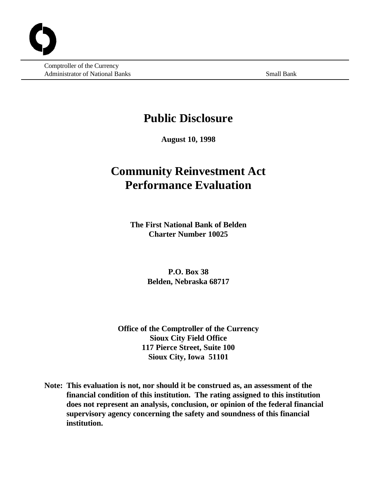Comptroller of the Currency Administrator of National Banks Small Banks Small Banks Small Bank

## **Public Disclosure**

**August 10, 1998**

# **Community Reinvestment Act Performance Evaluation**

**The First National Bank of Belden Charter Number 10025**

> **P.O. Box 38 Belden, Nebraska 68717**

**Office of the Comptroller of the Currency Sioux City Field Office 117 Pierce Street, Suite 100 Sioux City, Iowa 51101**

**Note: This evaluation is not, nor should it be construed as, an assessment of the financial condition of this institution. The rating assigned to this institution does not represent an analysis, conclusion, or opinion of the federal financial supervisory agency concerning the safety and soundness of this financial institution.**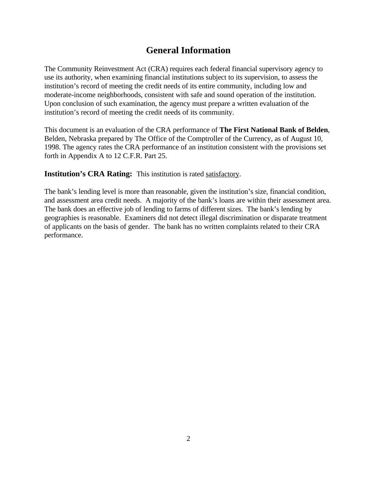### **General Information**

The Community Reinvestment Act (CRA) requires each federal financial supervisory agency to use its authority, when examining financial institutions subject to its supervision, to assess the institution's record of meeting the credit needs of its entire community, including low and moderate-income neighborhoods, consistent with safe and sound operation of the institution. Upon conclusion of such examination, the agency must prepare a written evaluation of the institution's record of meeting the credit needs of its community.

This document is an evaluation of the CRA performance of **The First National Bank of Belden**, Belden, Nebraska prepared by The Office of the Comptroller of the Currency, as of August 10, 1998. The agency rates the CRA performance of an institution consistent with the provisions set forth in Appendix A to 12 C.F.R. Part 25.

**Institution's CRA Rating:** This institution is rated **satisfactory**.

The bank's lending level is more than reasonable, given the institution's size, financial condition, and assessment area credit needs. A majority of the bank's loans are within their assessment area. The bank does an effective job of lending to farms of different sizes. The bank's lending by geographies is reasonable. Examiners did not detect illegal discrimination or disparate treatment of applicants on the basis of gender. The bank has no written complaints related to their CRA performance.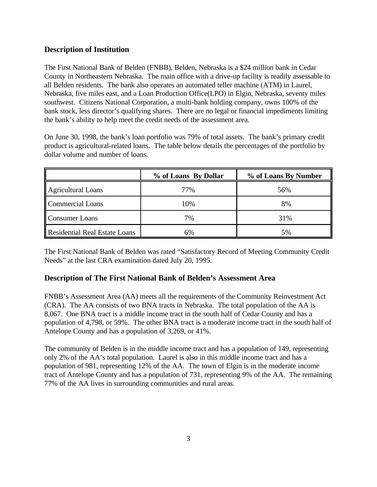### **Description of Institution**

The First National Bank of Belden (FNBB), Belden, Nebraska is a \$24 million bank in Cedar County in Northeastern Nebraska. The main office with a drive-up facility is readily assessable to all Belden residents. The bank also operates an automated teller machine (ATM) in Laurel, Nebraska, five miles east, and a Loan Production Office(LPO) in Elgin, Nebraska, seventy miles southwest. Citizens National Corporation, a multi-bank holding company, owns 100% of the bank stock, less director's qualifying shares. There are no legal or financial impediments limiting the bank's ability to help meet the credit needs of the assessment area.

On June 30, 1998, the bank's loan portfolio was 79% of total assets. The bank's primary credit product is agricultural-related loans. The table below details the percentages of the portfolio by dollar volume and number of loans.

|                                      | % of Loans By Dollar | % of Loans By Number |
|--------------------------------------|----------------------|----------------------|
| Agricultural Loans                   | 77%                  | 56%                  |
| Commercial Loans                     | 10%                  | 8%                   |
| <b>Consumer Loans</b>                | 7%                   | 31%                  |
| <b>Residential Real Estate Loans</b> | 6%                   | 5%                   |

The First National Bank of Belden was rated "Satisfactory Record of Meeting Community Credit Needs" at the last CRA examination dated July 20, 1995.

#### **Description of The First National Bank of Belden's Assessment Area**

FNBB's Assessment Area (AA) meets all the requirements of the Community Reinvestment Act (CRA). The AA consists of two BNA tracts in Nebraska. The total population of the AA is 8,067. One BNA tract is a middle income tract in the south half of Cedar County and has a population of 4,798, or 59%. The other BNA tract is a moderate income tract in the south half of Antelope County and has a population of 3,269, or 41%.

The community of Belden is in the middle income tract and has a population of 149, representing only 2% of the AA's total population. Laurel is also in this middle income tract and has a population of 981, representing 12% of the AA. The town of Elgin is in the moderate income tract of Antelope County and has a population of 731, representing 9% of the AA. The remaining 77% of the AA lives in surrounding communities and rural areas.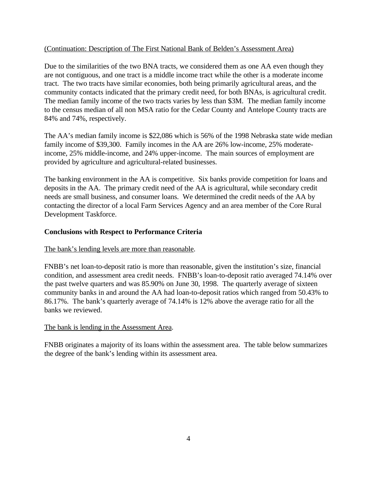#### (Continuation: Description of The First National Bank of Belden's Assessment Area)

Due to the similarities of the two BNA tracts, we considered them as one AA even though they are not contiguous, and one tract is a middle income tract while the other is a moderate income tract. The two tracts have similar economies, both being primarily agricultural areas, and the community contacts indicated that the primary credit need, for both BNAs, is agricultural credit. The median family income of the two tracts varies by less than \$3M. The median family income to the census median of all non MSA ratio for the Cedar County and Antelope County tracts are 84% and 74%, respectively.

The AA's median family income is \$22,086 which is 56% of the 1998 Nebraska state wide median family income of \$39,300. Family incomes in the AA are 26% low-income, 25% moderateincome, 25% middle-income, and 24% upper-income. The main sources of employment are provided by agriculture and agricultural-related businesses.

The banking environment in the AA is competitive. Six banks provide competition for loans and deposits in the AA. The primary credit need of the AA is agricultural, while secondary credit needs are small business, and consumer loans. We determined the credit needs of the AA by contacting the director of a local Farm Services Agency and an area member of the Core Rural Development Taskforce.

#### **Conclusions with Respect to Performance Criteria**

#### The bank's lending levels are more than reasonable.

FNBB's net loan-to-deposit ratio is more than reasonable, given the institution's size, financial condition, and assessment area credit needs. FNBB's loan-to-deposit ratio averaged 74.14% over the past twelve quarters and was 85.90% on June 30, 1998. The quarterly average of sixteen community banks in and around the AA had loan-to-deposit ratios which ranged from 50.43% to 86.17%. The bank's quarterly average of 74.14% is 12% above the average ratio for all the banks we reviewed.

#### The bank is lending in the Assessment Area.

FNBB originates a majority of its loans within the assessment area. The table below summarizes the degree of the bank's lending within its assessment area.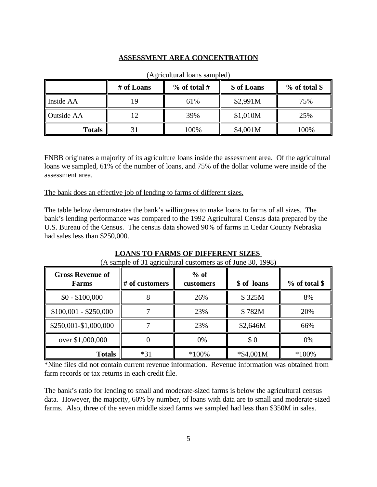#### **ASSESSMENT AREA CONCENTRATION**

|                   | # of Loans | % of total # | \$ of Loans | $%$ of total \$ |
|-------------------|------------|--------------|-------------|-----------------|
| Inside AA         |            | 61%          | \$2,991M    | 75%             |
| <b>Outside AA</b> |            | 39%          | \$1,010M    | 25%             |
| <b>Totals</b>     |            | 100%         | \$4,001M    | 100%            |

#### (Agricultural loans sampled)

FNBB originates a majority of its agriculture loans inside the assessment area. Of the agricultural loans we sampled, 61% of the number of loans, and 75% of the dollar volume were inside of the assessment area.

The bank does an effective job of lending to farms of different sizes.

The table below demonstrates the bank's willingness to make loans to farms of all sizes. The bank's lending performance was compared to the 1992 Agricultural Census data prepared by the U.S. Bureau of the Census. The census data showed 90% of farms in Cedar County Nebraska had sales less than \$250,000.

| <b>Gross Revenue of</b><br>Farms    | # of customers | $%$ of<br>customers | \$ of loans  | $%$ of total \$ |
|-------------------------------------|----------------|---------------------|--------------|-----------------|
| $$0 - $100,000$                     |                | 26%                 | \$325M       | 8%              |
| $$100,001 - $250,000$               |                | 23%                 | \$782M       | 20%             |
| $\frac{1}{2}$ \$250,001-\$1,000,000 |                | 23%                 | \$2,646M     | 66%             |
| over \$1,000,000                    |                | 0%                  | \$0          | 0%              |
| <b>Totals</b>                       | $*31$          | $*100\%$            | $*$ \$4,001M | $*100\%$        |

#### **LOANS TO FARMS OF DIFFERENT SIZES**

\*Nine files did not contain current revenue information. Revenue information was obtained from farm records or tax returns in each credit file.

The bank's ratio for lending to small and moderate-sized farms is below the agricultural census data. However, the majority, 60% by number, of loans with data are to small and moderate-sized farms. Also, three of the seven middle sized farms we sampled had less than \$350M in sales.

<sup>(</sup>A sample of 31 agricultural customers as of June 30, 1998)